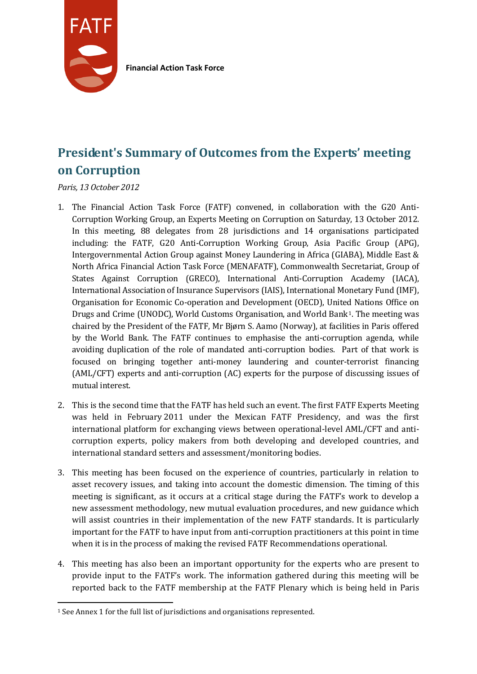

**Financial Action Task Force**

# **President's Summary of Outcomes from the Experts' meeting on Corruption**

*Paris, 13 October 2012*

- 1. The Financial Action Task Force (FATF) convened, in collaboration with the G20 Anti-Corruption Working Group, an Experts Meeting on Corruption on Saturday, 13 October 2012. In this meeting, 88 delegates from 28 jurisdictions and 14 organisations participated including: the FATF, G20 Anti-Corruption Working Group, Asia Pacific Group (APG), Intergovernmental Action Group against Money Laundering in Africa (GIABA), Middle East & North Africa Financial Action Task Force (MENAFATF), Commonwealth Secretariat, Group of States Against Corruption (GRECO), International Anti-Corruption Academy (IACA), International Association of Insurance Supervisors (IAIS), International Monetary Fund (IMF), Organisation for Economic Co-operation and Development (OECD), United Nations Office on Drugs and Crime (UNODC), World Customs Organisation, and World Bank[1.](#page-0-0) The meeting was chaired by the President of the FATF, Mr Bjørn S. Aamo (Norway), at facilities in Paris offered by the World Bank. The FATF continues to emphasise the anti-corruption agenda, while avoiding duplication of the role of mandated anti-corruption bodies. Part of that work is focused on bringing together anti-money laundering and counter-terrorist financing (AML/CFT) experts and anti-corruption (AC) experts for the purpose of discussing issues of mutual interest.
- 2. This is the second time that the FATF has held such an event. The first FATF Experts Meeting was held in February 2011 under the Mexican FATF Presidency, and was the first international platform for exchanging views between operational-level AML/CFT and anticorruption experts, policy makers from both developing and developed countries, and international standard setters and assessment/monitoring bodies.
- 3. This meeting has been focused on the experience of countries, particularly in relation to asset recovery issues, and taking into account the domestic dimension. The timing of this meeting is significant, as it occurs at a critical stage during the FATF's work to develop a new assessment methodology, new mutual evaluation procedures, and new guidance which will assist countries in their implementation of the new FATF standards. It is particularly important for the FATF to have input from anti-corruption practitioners at this point in time when it is in the process of making the revised FATF Recommendations operational.
- 4. This meeting has also been an important opportunity for the experts who are present to provide input to the FATF's work. The information gathered during this meeting will be reported back to the FATF membership at the FATF Plenary which is being held in Paris

<span id="page-0-0"></span> $\overline{a}$ <sup>1</sup> See Annex 1 for the full list of jurisdictions and organisations represented.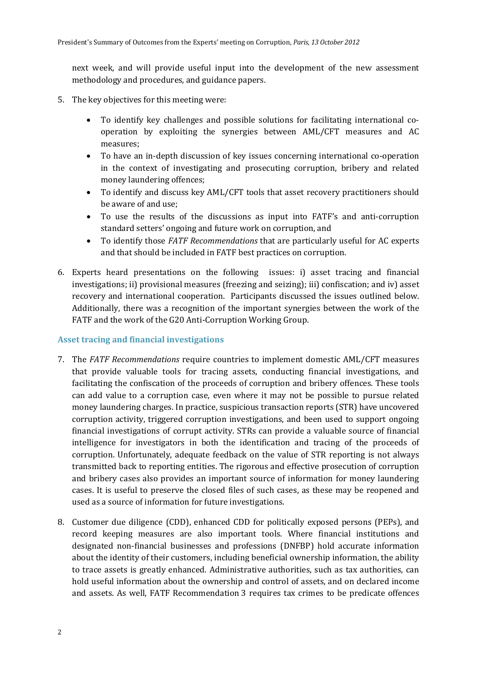next week, and will provide useful input into the development of the new assessment methodology and procedures, and guidance papers.

- 5. The key objectives for this meeting were:
	- To identify key challenges and possible solutions for facilitating international cooperation by exploiting the synergies between AML/CFT measures and AC measures;
	- To have an in-depth discussion of key issues concerning international co-operation in the context of investigating and prosecuting corruption, bribery and related money laundering offences;
	- To identify and discuss key AML/CFT tools that asset recovery practitioners should be aware of and use;
	- To use the results of the discussions as input into FATF's and anti-corruption standard setters' ongoing and future work on corruption, and
	- To identify those *FATF Recommendations* that are particularly useful for AC experts and that should be included in FATF best practices on corruption.
- 6. Experts heard presentations on the following issues: i) asset tracing and financial investigations; ii) provisional measures (freezing and seizing); iii) confiscation; and iv) asset recovery and international cooperation. Participants discussed the issues outlined below. Additionally, there was a recognition of the important synergies between the work of the FATF and the work of the G20 Anti-Corruption Working Group.

#### **Asset tracing and financial investigations**

- 7. The *FATF Recommendations* require countries to implement domestic AML/CFT measures that provide valuable tools for tracing assets, conducting financial investigations, and facilitating the confiscation of the proceeds of corruption and bribery offences. These tools can add value to a corruption case, even where it may not be possible to pursue related money laundering charges. In practice, suspicious transaction reports (STR) have uncovered corruption activity, triggered corruption investigations, and been used to support ongoing financial investigations of corrupt activity. STRs can provide a valuable source of financial intelligence for investigators in both the identification and tracing of the proceeds of corruption. Unfortunately, adequate feedback on the value of STR reporting is not always transmitted back to reporting entities. The rigorous and effective prosecution of corruption and bribery cases also provides an important source of information for money laundering cases. It is useful to preserve the closed files of such cases, as these may be reopened and used as a source of information for future investigations.
- 8. Customer due diligence (CDD), enhanced CDD for politically exposed persons (PEPs), and record keeping measures are also important tools. Where financial institutions and designated non-financial businesses and professions (DNFBP) hold accurate information about the identity of their customers, including beneficial ownership information, the ability to trace assets is greatly enhanced. Administrative authorities, such as tax authorities, can hold useful information about the ownership and control of assets, and on declared income and assets. As well, FATF Recommendation 3 requires tax crimes to be predicate offences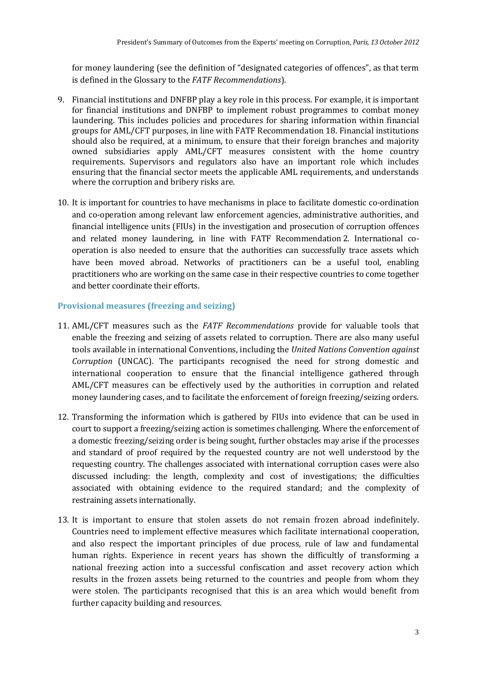for money laundering (see the definition of "designated categories of offences", as that term is defined in the Glossary to the *FATF Recommendations*).

- 9. Financial institutions and DNFBP play a key role in this process. For example, it is important for financial institutions and DNFBP to implement robust programmes to combat money laundering. This includes policies and procedures for sharing information within financial groups for AML/CFT purposes, in line with FATF Recommendation 18. Financial institutions should also be required, at a minimum, to ensure that their foreign branches and majority owned subsidiaries apply AML/CFT measures consistent with the home country requirements. Supervisors and regulators also have an important role which includes ensuring that the financial sector meets the applicable AML requirements, and understands where the corruption and bribery risks are.
- 10. It is important for countries to have mechanisms in place to facilitate domestic co-ordination and co-operation among relevant law enforcement agencies, administrative authorities, and financial intelligence units (FIUs) in the investigation and prosecution of corruption offences and related money laundering, in line with FATF Recommendation 2. International cooperation is also needed to ensure that the authorities can successfully trace assets which have been moved abroad. Networks of practitioners can be a useful tool, enabling practitioners who are working on the same case in their respective countries to come together and better coordinate their efforts.

### **Provisional measures (freezing and seizing)**

- 11. AML/CFT measures such as the *FATF Recommendations* provide for valuable tools that enable the freezing and seizing of assets related to corruption. There are also many useful tools available in international Conventions, including the *United Nations Convention against Corruption* (UNCAC)*.* The participants recognised the need for strong domestic and international cooperation to ensure that the financial intelligence gathered through AML/CFT measures can be effectively used by the authorities in corruption and related money laundering cases, and to facilitate the enforcement of foreign freezing/seizing orders.
- 12. Transforming the information which is gathered by FIUs into evidence that can be used in court to support a freezing/seizing action is sometimes challenging. Where the enforcement of a domestic freezing/seizing order is being sought, further obstacles may arise if the processes and standard of proof required by the requested country are not well understood by the requesting country. The challenges associated with international corruption cases were also discussed including: the length, complexity and cost of investigations; the difficulties associated with obtaining evidence to the required standard; and the complexity of restraining assets internationally.
- 13. It is important to ensure that stolen assets do not remain frozen abroad indefinitely. Countries need to implement effective measures which facilitate international cooperation, and also respect the important principles of due process, rule of law and fundamental human rights. Experience in recent years has shown the difficultly of transforming a national freezing action into a successful confiscation and asset recovery action which results in the frozen assets being returned to the countries and people from whom they were stolen. The participants recognised that this is an area which would benefit from further capacity building and resources.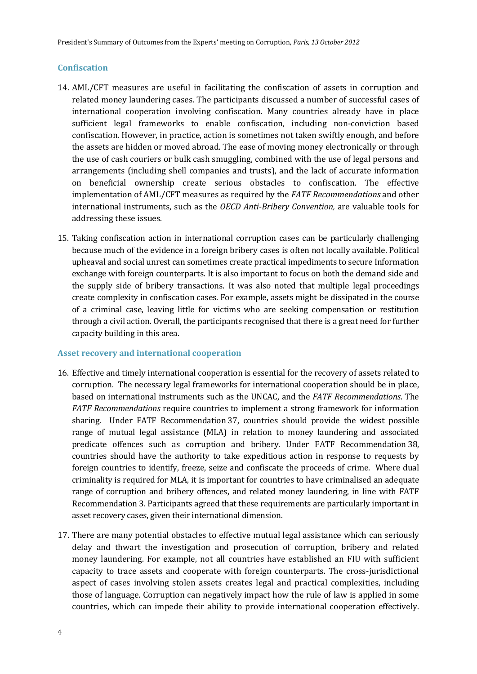#### **Confiscation**

- 14. AML/CFT measures are useful in facilitating the confiscation of assets in corruption and related money laundering cases. The participants discussed a number of successful cases of international cooperation involving confiscation. Many countries already have in place sufficient legal frameworks to enable confiscation, including non-conviction based confiscation. However, in practice, action is sometimes not taken swiftly enough, and before the assets are hidden or moved abroad. The ease of moving money electronically or through the use of cash couriers or bulk cash smuggling, combined with the use of legal persons and arrangements (including shell companies and trusts), and the lack of accurate information on beneficial ownership create serious obstacles to confiscation. The effective implementation of AML/CFT measures as required by the *FATF Recommendations* and other international instruments, such as the *OECD Anti-Bribery Convention,* are valuable tools for addressing these issues.
- 15. Taking confiscation action in international corruption cases can be particularly challenging because much of the evidence in a foreign bribery cases is often not locally available. Political upheaval and social unrest can sometimes create practical impediments to secure Information exchange with foreign counterparts. It is also important to focus on both the demand side and the supply side of bribery transactions. It was also noted that multiple legal proceedings create complexity in confiscation cases. For example, assets might be dissipated in the course of a criminal case, leaving little for victims who are seeking compensation or restitution through a civil action. Overall, the participants recognised that there is a great need for further capacity building in this area.

#### **Asset recovery and international cooperation**

- 16. Effective and timely international cooperation is essential for the recovery of assets related to corruption. The necessary legal frameworks for international cooperation should be in place, based on international instruments such as the UNCAC, and the *FATF Recommendations*. The *FATF Recommendations* require countries to implement a strong framework for information sharing. Under FATF Recommendation 37, countries should provide the widest possible range of mutual legal assistance (MLA) in relation to money laundering and associated predicate offences such as corruption and bribery. Under FATF Recommendation 38, countries should have the authority to take expeditious action in response to requests by foreign countries to identify, freeze, seize and confiscate the proceeds of crime. Where dual criminality is required for MLA, it is important for countries to have criminalised an adequate range of corruption and bribery offences, and related money laundering, in line with FATF Recommendation 3. Participants agreed that these requirements are particularly important in asset recovery cases, given their international dimension.
- 17. There are many potential obstacles to effective mutual legal assistance which can seriously delay and thwart the investigation and prosecution of corruption, bribery and related money laundering. For example, not all countries have established an FIU with sufficient capacity to trace assets and cooperate with foreign counterparts. The cross-jurisdictional aspect of cases involving stolen assets creates legal and practical complexities, including those of language. Corruption can negatively impact how the rule of law is applied in some countries, which can impede their ability to provide international cooperation effectively.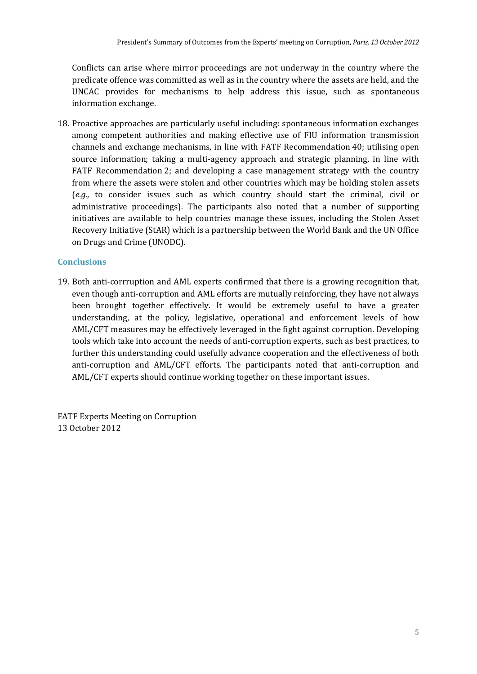Conflicts can arise where mirror proceedings are not underway in the country where the predicate offence was committed as well as in the country where the assets are held, and the UNCAC provides for mechanisms to help address this issue, such as spontaneous information exchange.

18. Proactive approaches are particularly useful including: spontaneous information exchanges among competent authorities and making effective use of FIU information transmission channels and exchange mechanisms, in line with FATF Recommendation 40; utilising open source information; taking a multi-agency approach and strategic planning, in line with FATF Recommendation 2; and developing a case management strategy with the country from where the assets were stolen and other countries which may be holding stolen assets (*e.g.,* to consider issues such as which country should start the criminal, civil or administrative proceedings). The participants also noted that a number of supporting initiatives are available to help countries manage these issues, including the Stolen Asset Recovery Initiative (StAR) which is a partnership between the World Bank and the UN Office on Drugs and Crime (UNODC).

## **Conclusions**

19. Both anti-corrruption and AML experts confirmed that there is a growing recognition that, even though anti-corruption and AML efforts are mutually reinforcing, they have not always been brought together effectively. It would be extremely useful to have a greater understanding, at the policy, legislative, operational and enforcement levels of how AML/CFT measures may be effectively leveraged in the fight against corruption. Developing tools which take into account the needs of anti-corruption experts, such as best practices, to further this understanding could usefully advance cooperation and the effectiveness of both anti-corruption and AML/CFT efforts. The participants noted that anti-corruption and AML/CFT experts should continue working together on these important issues.

FATF Experts Meeting on Corruption 13 October 2012